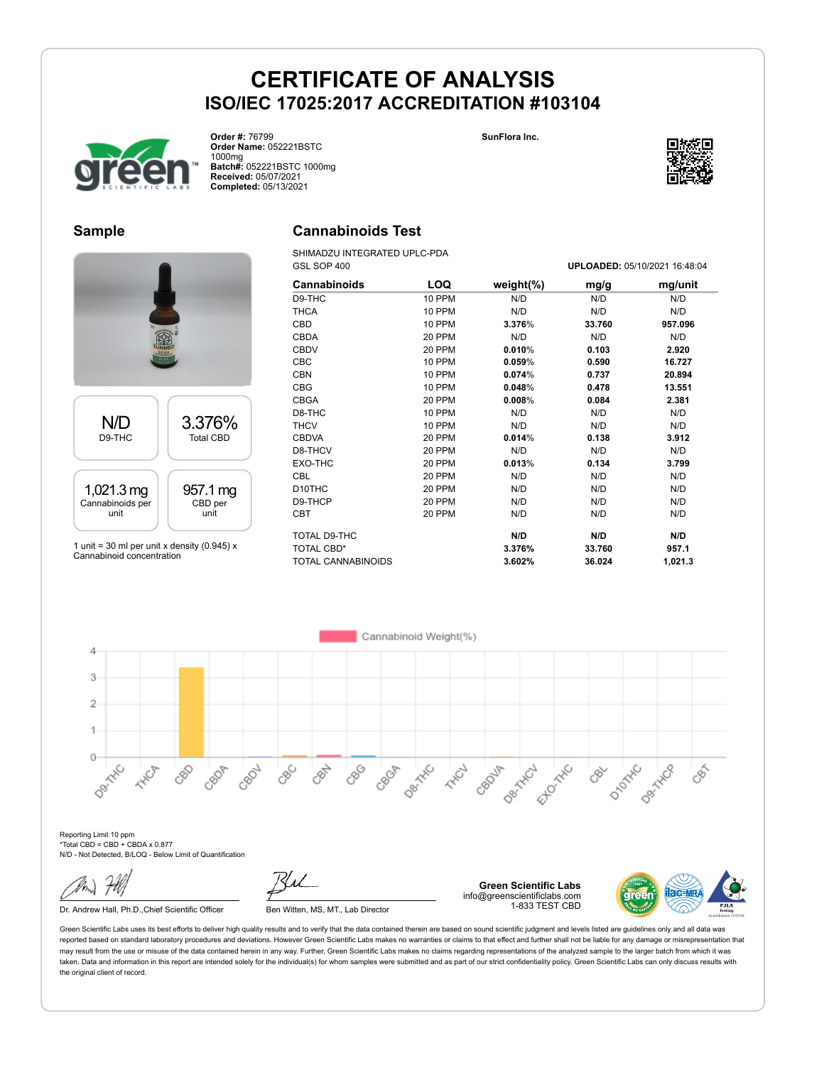



**Order #:** 76799 **Order Name:** 052221BSTC 1000mg **Batch#:** 052221BSTC 1000mg **Received:** 05/07/2021 **Completed:** 05/13/2021

### **Sample**

# N/D D9-THC 3.376% Total CBD 1,021.3 mg Cannabinoids per unit 957.1 mg CBD per unit

1 unit = 30 ml per unit x density (0.945)  $x$ Cannabinoid concentration

# **Cannabinoids Test**

SHIMADZU INTEGRATED UPLC-PDA GSL SOP 400 **UPLOADED:** 05/10/2021 16:48:04

| <b>Cannabinoids</b> | LOQ           | weight $(\%)$ | mg/g   | mg/unit |
|---------------------|---------------|---------------|--------|---------|
| D9-THC              | 10 PPM        | N/D           | N/D    | N/D     |
| <b>THCA</b>         | <b>10 PPM</b> | N/D           | N/D    | N/D     |
| <b>CBD</b>          | 10 PPM        | 3.376%        | 33.760 | 957.096 |
| <b>CBDA</b>         | 20 PPM        | N/D           | N/D    | N/D     |
| <b>CBDV</b>         | 20 PPM        | 0.010%        | 0.103  | 2.920   |
| <b>CBC</b>          | 10 PPM        | 0.059%        | 0.590  | 16.727  |
| <b>CBN</b>          | 10 PPM        | 0.074%        | 0.737  | 20.894  |
| <b>CBG</b>          | 10 PPM        | 0.048%        | 0.478  | 13.551  |
| <b>CBGA</b>         | 20 PPM        | 0.008%        | 0.084  | 2.381   |
| D8-THC              | 10 PPM        | N/D           | N/D    | N/D     |
| <b>THCV</b>         | 10 PPM        | N/D           | N/D    | N/D     |
| <b>CBDVA</b>        | 20 PPM        | 0.014%        | 0.138  | 3.912   |
| D8-THCV             | 20 PPM        | N/D           | N/D    | N/D     |
| EXO-THC             | 20 PPM        | 0.013%        | 0.134  | 3.799   |
| <b>CBL</b>          | 20 PPM        | N/D           | N/D    | N/D     |
| D <sub>10</sub> THC | 20 PPM        | N/D           | N/D    | N/D     |
| D9-THCP             | 20 PPM        | N/D           | N/D    | N/D     |
| <b>CBT</b>          | 20 PPM        | N/D           | N/D    | N/D     |
| TOTAL D9-THC        |               | N/D           | N/D    | N/D     |
| TOTAL CBD*          |               | 3.376%        | 33.760 | 957.1   |
| TOTAL CANNABINOIDS  |               | 3.602%        | 36.024 | 1,021.3 |

Cannabinoid Weight(%) 4 3  $\overline{2}$ 1  $\circ$ Desitive **Desired** CBC<sub>O</sub> CBN 880 Der HARD Ellowski DIDOXNO CBOP CRO2L Dex Hitc CBOJA **HAVE** 88 CBGA **HARCH**  $\delta$ CBY

Reporting Limit 10 ppm \*Total CBD = CBD + CBDA x 0.877 N/D - Not Detected, B/LOQ - Below Limit of Quantification

Dr. Andrew Hall, Ph.D., Chief Scientific Officer Ben Witten, MS, MT., Lab Director

**Green Scientific Labs** info@greenscientificlabs.com 1-833 TEST CBD



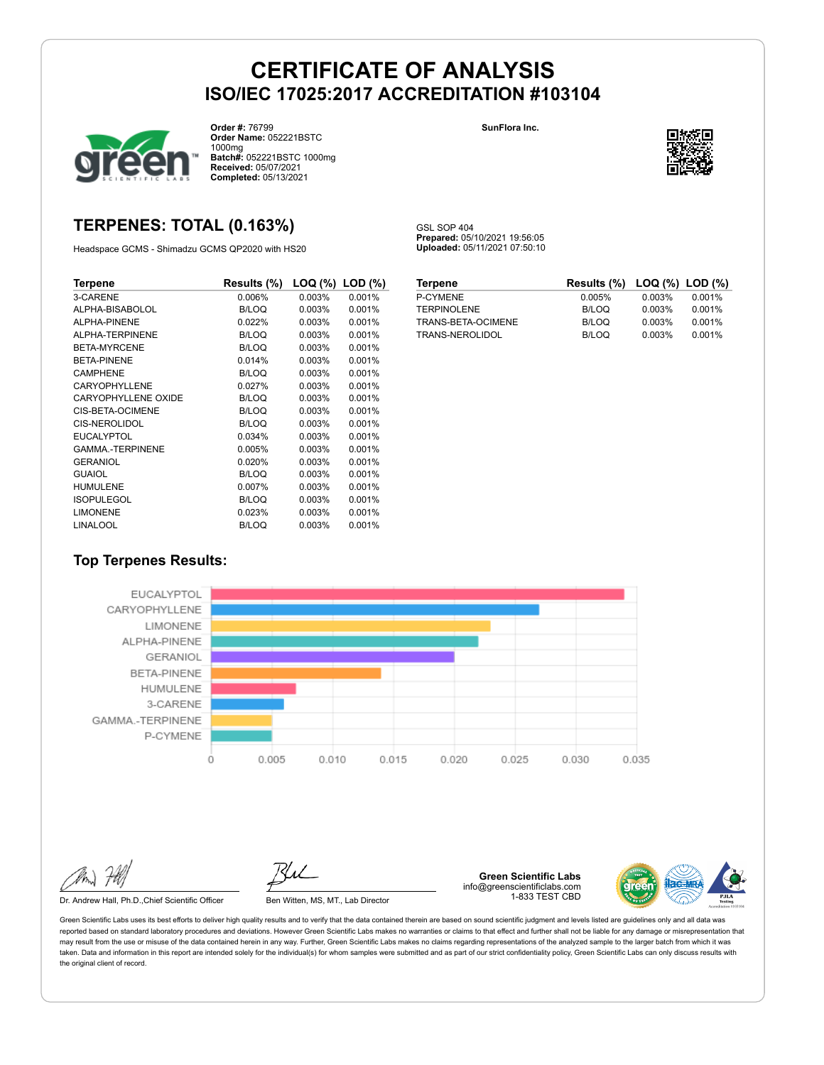

**Order #:** 76799 **Order Name:** 052221BSTC 1000mg **Batch#:** 052221BSTC 1000mg **Received:** 05/07/2021 **Completed:** 05/13/2021

### **TERPENES: TOTAL (0.163%)**

Headspace GCMS - Shimadzu GCMS QP2020 with HS20

| Terpene                | Results (%)  | $\textsf{LOQ}$ (%) $\textsf{LOD}$ (%) |        |
|------------------------|--------------|---------------------------------------|--------|
| 3-CARENE               | 0.006%       | 0.003%                                | 0.001% |
| ALPHA-BISABOLOL        | B/LOQ        | 0.003%                                | 0.001% |
| ALPHA-PINENE           | 0.022%       | 0.003%                                | 0.001% |
| ALPHA-TERPINENE        | B/LOQ        | 0.003%                                | 0.001% |
| <b>BETA-MYRCENE</b>    | B/LOQ        | 0.003%                                | 0.001% |
| <b>BETA-PINENE</b>     | 0.014%       | 0.003%                                | 0.001% |
| <b>CAMPHENE</b>        | <b>B/LOQ</b> | 0.003%                                | 0.001% |
| CARYOPHYLLENE          | 0.027%       | 0.003%                                | 0.001% |
| CARYOPHYLLENE OXIDE    | B/LOQ        | 0.003%                                | 0.001% |
| CIS-BETA-OCIMENE       | <b>B/LOQ</b> | 0.003%                                | 0.001% |
| CIS-NEROLIDOL          | B/LOQ        | 0.003%                                | 0.001% |
| <b>EUCALYPTOL</b>      | 0.034%       | 0.003%                                | 0.001% |
| <b>GAMMA-TERPINENE</b> | 0.005%       | 0.003%                                | 0.001% |
| <b>GERANIOL</b>        | 0.020%       | 0.003%                                | 0.001% |
| <b>GUAIOL</b>          | <b>B/LOQ</b> | 0.003%                                | 0.001% |
| <b>HUMULENE</b>        | 0.007%       | 0.003%                                | 0.001% |
| <b>ISOPULEGOL</b>      | <b>B/LOQ</b> | 0.003%                                | 0.001% |
| <b>LIMONENE</b>        | 0.023%       | 0.003%                                | 0.001% |
| <b>LINALOOL</b>        | <b>B/LOQ</b> | 0.003%                                | 0.001% |

**SunFlora Inc.**



GSL SOP 404 **Prepared:** 05/10/2021 19:56:05 **Uploaded:** 05/11/2021 07:50:10

| pene                | <b>Results (%)</b> |           | $\textsf{LOQ}$ (%) $\textsf{LOD}$ (%) | Ter |
|---------------------|--------------------|-----------|---------------------------------------|-----|
| <b>RENE</b>         | 0.006%             | 0.003%    | 0.001%                                | P-C |
| HA-BISABOLOL        | B/LOQ              | $0.003\%$ | $0.001\%$                             | TEF |
| HA-PINENE           | 0.022%             | $0.003\%$ | $0.001\%$                             | TR/ |
| <b>HA-TERPINENE</b> | <b>B/LOQ</b>       | $0.003\%$ | 0.001%                                | TR/ |
| A-MYRCENE           | B/LOQ              | $0.003\%$ | 0.001%                                |     |
| A-PINENE            | 0.014%             | $0.003\%$ | 0.001%                                |     |
| <b>PHENE</b>        | B/LOQ              | $0.003\%$ | 0.001%                                |     |
| <b>YOPHYLLENE</b>   | 0.027%             | 0.003%    | 0.001%                                |     |
| YOPHYLLENE OXIDE    | B/LOQ              | $0.003\%$ | 0.001%                                |     |
| <b>BETA-OCIMENE</b> | B/LOQ              | $0.003\%$ | 0.001%                                |     |
| NEROLIDOL           | B/LOQ              | $0.003\%$ | 0.001%                                |     |
| ALYPTOL             | 0.034%             | $0.003\%$ | 0.001%                                |     |
| IMA.-TERPINENE      | 0.005%             | $0.003\%$ | 0.001%                                |     |
| ANIOL               | $0.020\%$          | $0.003\%$ | 0.001%                                |     |
| JOL.                | B/LOQ              | $0.003\%$ | 0.001%                                |     |
| <b>IULENE</b>       | 0.007%             | $0.003\%$ | 0.001%                                |     |
| PULEGOL             | B/LOQ              | $0.003\%$ | 0.001%                                |     |
| <b>NENE</b>         | $0.023\%$          | $0.003\%$ | 0.001%                                |     |

| <b>Terpene</b>     | Results (%) LOQ (%) LOD (%) |        |        |
|--------------------|-----------------------------|--------|--------|
| P-CYMENE           | 0.005%                      | 0.003% | 0.001% |
| <b>TERPINOLENE</b> | B/LOQ                       | 0.003% | 0.001% |
| TRANS-BETA-OCIMENE | B/LOQ                       | 0.003% | 0.001% |
| TRANS-NEROLIDOL    | B/LOQ                       | 0.003% | 0.001% |

### **Top Terpenes Results:**



Dr. Andrew Hall, Ph.D., Chief Scientific Officer Ben Witten, MS, MT., Lab Director

**Green Scientific Labs** info@greenscientificlabs.com 1-833 TEST CBD

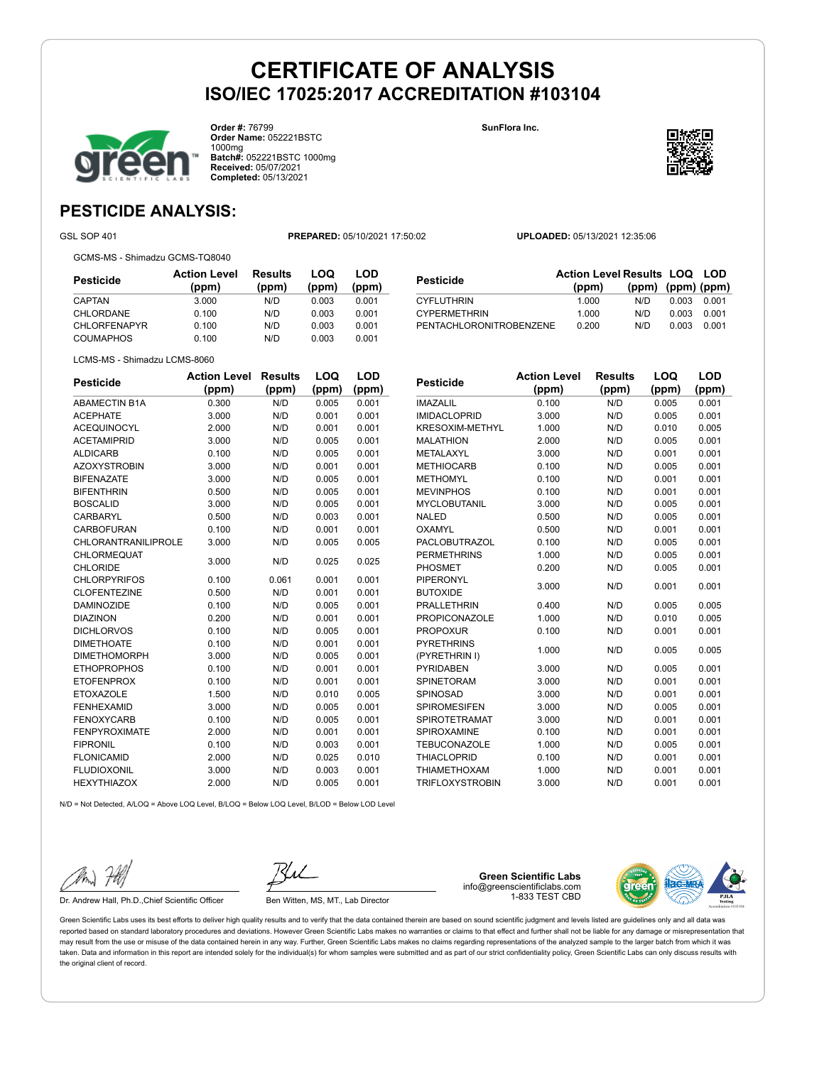

**Order #:** 76799 **Order Name:** 052221BSTC 1000mg **Batch#:** 052221BSTC 1000mg **Received:** 05/07/2021 **Completed:** 05/13/2021

**SunFlora Inc.**



**(ppm) (ppm) (ppm)**

### **PESTICIDE ANALYSIS:**

GSL SOP 401 **PREPARED:** 05/10/2021 17:50:02 **UPLOADED:** 05/13/2021 12:35:06

GCMS-MS - Shimadzu GCMS-TQ8040

**Pesticide Action Level (ppm) Results (ppm) LOQ (ppm) LOD (ppm)** CAPTAN 3.000 N/D 0.003 0.001 CHLORDANE 0.100 N/D 0.003 0.001 CHLORFENAPYR 0.100 N/D 0.003 0.001 COUMAPHOS 0.100 N/D 0.003 0.001

| LCMS-MS - Shimadzu LCMS-8060          |                              |                         |                     |                     |                |  |
|---------------------------------------|------------------------------|-------------------------|---------------------|---------------------|----------------|--|
| Pesticide                             | <b>Action Level</b><br>(ppm) | <b>Results</b><br>(ppm) | <b>LOQ</b><br>(ppm) | <b>LOD</b><br>(ppm) | Pε             |  |
| <b>ABAMECTIN B1A</b>                  | 0.300                        | N/D                     | 0.005               | 0.001               | IM,            |  |
| <b>ACEPHATE</b>                       | 3.000                        | N/D                     | 0.001               | 0.001               | IM             |  |
| <b>ACEQUINOCYL</b>                    | 2.000                        | N/D                     | 0.001               | 0.001               | KR             |  |
| <b>ACETAMIPRID</b>                    | 3.000                        | N/D                     | 0.005               | 0.001               | MA             |  |
| <b>ALDICARB</b>                       | 0.100                        | N/D                     | 0.005               | 0.001               | ME             |  |
| <b>AZOXYSTROBIN</b>                   | 3.000                        | N/D                     | 0.001               | 0.001               | ME             |  |
| <b>BIFENAZATE</b>                     | 3.000                        | N/D                     | 0.005               | 0.001               | ME             |  |
| <b>BIFENTHRIN</b>                     | 0.500                        | N/D                     | 0.005               | 0.001               | ME             |  |
| <b>BOSCALID</b>                       | 3.000                        | N/D                     | 0.005               | 0.001               | M١             |  |
| CARBARYL                              | 0.500                        | N/D                     | 0.003               | 0.001               | N <sub>A</sub> |  |
| <b>CARBOFURAN</b>                     | 0.100                        | N/D                     | 0.001               | 0.001               | O>             |  |
| CHLORANTRANILIPROLE                   | 3.000                        | N/D                     | 0.005               | 0.005               | PA             |  |
| <b>CHLORMEQUAT</b><br><b>CHLORIDE</b> | 3.000                        | N/D                     | 0.025               | 0.025               | PE<br>PH       |  |
| <b>CHLORPYRIFOS</b>                   | 0.100                        | 0.061                   | 0.001               | 0.001               | PIF            |  |
| <b>CLOFENTEZINE</b>                   | 0.500                        | N/D                     | 0.001               | 0.001               | BU             |  |
| <b>DAMINOZIDE</b>                     | 0.100                        | N/D                     | 0.005               | 0.001               | PR             |  |
| <b>DIAZINON</b>                       | 0.200                        | N/D                     | 0.001               | 0.001               | PR             |  |
| <b>DICHLORVOS</b>                     | 0.100                        | N/D                     | 0.005               | 0.001               | PR             |  |
| <b>DIMETHOATE</b>                     | 0.100                        | N/D                     | 0.001               | 0.001               | PY             |  |
| <b>DIMETHOMORPH</b>                   | 3.000                        | N/D                     | 0.005               | 0.001               | (P'            |  |
| <b>ETHOPROPHOS</b>                    | 0.100                        | N/D                     | 0.001               | 0.001               | PY             |  |
| <b>ETOFENPROX</b>                     | 0.100                        | N/D                     | 0.001               | 0.001               | <b>SP</b>      |  |
| <b>ETOXAZOLE</b>                      | 1.500                        | N/D                     | 0.010               | 0.005               | <b>SP</b>      |  |
| <b>FENHEXAMID</b>                     | 3.000                        | N/D                     | 0.005               | 0.001               | <b>SP</b>      |  |

| Pesticide                          | <b>Action Level</b><br>(ppm) | <b>Results</b><br>(ppm) | LOQ<br>(ppm) | LOD<br>(ppm) |
|------------------------------------|------------------------------|-------------------------|--------------|--------------|
| <b>IMAZALIL</b>                    | 0.100                        | N/D                     | 0.005        | 0.001        |
| <b>IMIDACLOPRID</b>                | 3.000                        | N/D                     | 0.005        | 0.001        |
| <b>KRESOXIM-METHYL</b>             | 1.000                        | N/D                     | 0.010        | 0.005        |
| <b>MALATHION</b>                   | 2.000                        | N/D                     | 0.005        | 0.001        |
| METALAXYL                          | 3.000                        | N/D                     | 0.001        | 0.001        |
| <b>METHIOCARB</b>                  | 0.100                        | N/D                     | 0.005        | 0.001        |
| <b>METHOMYL</b>                    | 0.100                        | N/D                     | 0.001        | 0.001        |
| <b>MEVINPHOS</b>                   | 0.100                        | N/D                     | 0.001        | 0.001        |
| <b>MYCLOBUTANIL</b>                | 3.000                        | N/D                     | 0.005        | 0.001        |
| <b>NALED</b>                       | 0.500                        | N/D                     | 0.005        | 0.001        |
| <b>OXAMYL</b>                      | 0.500                        | N/D                     | 0.001        | 0.001        |
| <b>PACLOBUTRAZOL</b>               | 0.100                        | N/D                     | 0.005        | 0.001        |
| <b>PERMETHRINS</b>                 | 1.000                        | N/D                     | 0.005        | 0.001        |
| <b>PHOSMET</b>                     | 0.200                        | N/D                     | 0.005        | 0.001        |
| PIPERONYL<br><b>BUTOXIDE</b>       | 3.000                        | N/D                     | 0.001        | 0.001        |
| <b>PRALLETHRIN</b>                 | 0.400                        | N/D                     | 0.005        | 0.005        |
| <b>PROPICONAZOLE</b>               | 1.000                        | N/D                     | 0.010        | 0.005        |
| <b>PROPOXUR</b>                    | 0.100                        | N/D                     | 0.001        | 0.001        |
| <b>PYRETHRINS</b><br>(PYRETHRIN I) | 1.000                        | N/D                     | 0.005        | 0.005        |
| PYRIDABEN                          | 3.000                        | N/D                     | 0.005        | 0.001        |
| SPINETORAM                         | 3.000                        | N/D                     | 0.001        | 0.001        |
| <b>SPINOSAD</b>                    | 3.000                        | N/D                     | 0.001        | 0.001        |
| <b>SPIROMESIFEN</b>                | 3.000                        | N/D                     | 0.005        | 0.001        |
| <b>SPIROTETRAMAT</b>               | 3.000                        | N/D                     | 0.001        | 0.001        |
| SPIROXAMINE                        | 0.100                        | N/D                     | 0.001        | 0.001        |
| <b>TEBUCONAZOLE</b>                | 1.000                        | N/D                     | 0.005        | 0.001        |
| <b>THIACLOPRID</b>                 | 0.100                        | N/D                     | 0.001        | 0.001        |
| <b>THIAMETHOXAM</b>                | 1.000                        | N/D                     | 0.001        | 0.001        |
| <b>TRIFLOXYSTROBIN</b>             | 3.000                        | N/D                     | 0.001        | 0.001        |

N/D = Not Detected, A/LOQ = Above LOQ Level, B/LOQ = Below LOQ Level, B/LOD = Below LOD Level HEXYTHIAZOX 2.000 N/D 0.005 0.001

FENOXYCARB 0.100 N/D 0.005 0.001 FENPYROXIMATE 2.000 N/D 0.001 0.001 FIPRONIL 0.100 N/D 0.003 0.001 FLONICAMID 2.000 N/D 0.025 0.010 FLUDIOXONIL 3.000 N/D 0.003 0.001

Dr. Andrew Hall, Ph.D.,Chief Scientific Officer Ben Witten, MS, MT., Lab Director

**Green Scientific Labs** info@greenscientificlabs.com 1-833 TEST CBD



Green Scientific Labs uses its best efforts to deliver high quality results and to verify that the data contained therein are based on sound scientific judgment and levels listed are guidelines only and all data was reported based on standard laboratory procedures and deviations. However Green Scientific Labs makes no warranties or claims to that effect and further shall not be liable for any damage or misrepresentation that may result from the use or misuse of the data contained herein in any way. Further, Green Scientific Labs makes no claims regarding representations of the analyzed sample to the larger batch from which it was taken. Data and information in this report are intended solely for the individual(s) for whom samples were submitted and as part of our strict confidentiality policy. Green Scientific Labs can only discuss results with the original client of record.

**Pesticide Action Level Results LOQ LOD (ppm)**

CYFLUTHRIN 1.000 N/D 0.003 0.001 CYPERMETHRIN 1.000 N/D 0.003 0.001 PENTACHLORONITROBENZENE 0.200 N/D 0.003 0.001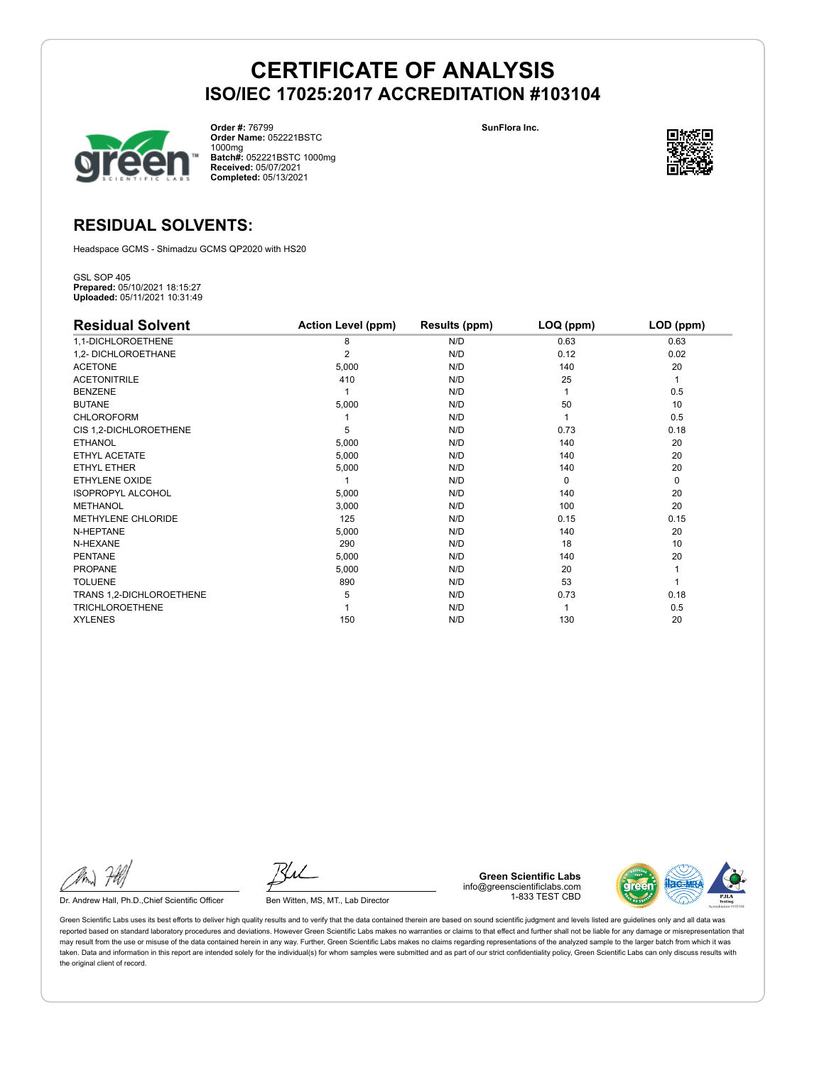

**Order #:** 76799 **Order Name:** 052221BSTC 1000mg **Batch#:** 052221BSTC 1000mg **Received:** 05/07/2021 **Completed:** 05/13/2021

**SunFlora Inc.**



### **RESIDUAL SOLVENTS:**

Headspace GCMS - Shimadzu GCMS QP2020 with HS20

GSL SOP 405 **Prepared:** 05/10/2021 18:15:27 **Uploaded:** 05/11/2021 10:31:49

| <b>Residual Solvent</b>   | <b>Action Level (ppm)</b> | Results (ppm) | LOQ (ppm) | LOD (ppm) |
|---------------------------|---------------------------|---------------|-----------|-----------|
| 1,1-DICHLOROETHENE        | 8                         | N/D           | 0.63      | 0.63      |
| 1,2- DICHLOROETHANE       | $\overline{2}$            | N/D           | 0.12      | 0.02      |
| <b>ACETONE</b>            | 5,000                     | N/D           | 140       | 20        |
| <b>ACETONITRILE</b>       | 410                       | N/D           | 25        | 1         |
| <b>BENZENE</b>            |                           | N/D           |           | 0.5       |
| <b>BUTANE</b>             | 5,000                     | N/D           | 50        | 10        |
| <b>CHLOROFORM</b>         |                           | N/D           |           | 0.5       |
| CIS 1,2-DICHLOROETHENE    | 5                         | N/D           | 0.73      | 0.18      |
| <b>ETHANOL</b>            | 5,000                     | N/D           | 140       | 20        |
| ETHYL ACETATE             | 5,000                     | N/D           | 140       | 20        |
| <b>ETHYL ETHER</b>        | 5,000                     | N/D           | 140       | 20        |
| ETHYLENE OXIDE            |                           | N/D           | $\Omega$  | 0         |
| <b>ISOPROPYL ALCOHOL</b>  | 5,000                     | N/D           | 140       | 20        |
| <b>METHANOL</b>           | 3,000                     | N/D           | 100       | 20        |
| <b>METHYLENE CHLORIDE</b> | 125                       | N/D           | 0.15      | 0.15      |
| N-HEPTANE                 | 5,000                     | N/D           | 140       | 20        |
| N-HEXANE                  | 290                       | N/D           | 18        | 10        |
| <b>PENTANE</b>            | 5,000                     | N/D           | 140       | 20        |
| <b>PROPANE</b>            | 5,000                     | N/D           | 20        |           |
| <b>TOLUENE</b>            | 890                       | N/D           | 53        |           |
| TRANS 1,2-DICHLOROETHENE  | 5                         | N/D           | 0.73      | 0.18      |
| <b>TRICHLOROETHENE</b>    |                           | N/D           |           | 0.5       |
| <b>XYLENES</b>            | 150                       | N/D           | 130       | 20        |

Dr. Andrew Hall, Ph.D., Chief Scientific Officer Ben Witten, MS, MT., Lab Director

**Green Scientific Labs** info@greenscientificlabs.com 1-833 TEST CBD

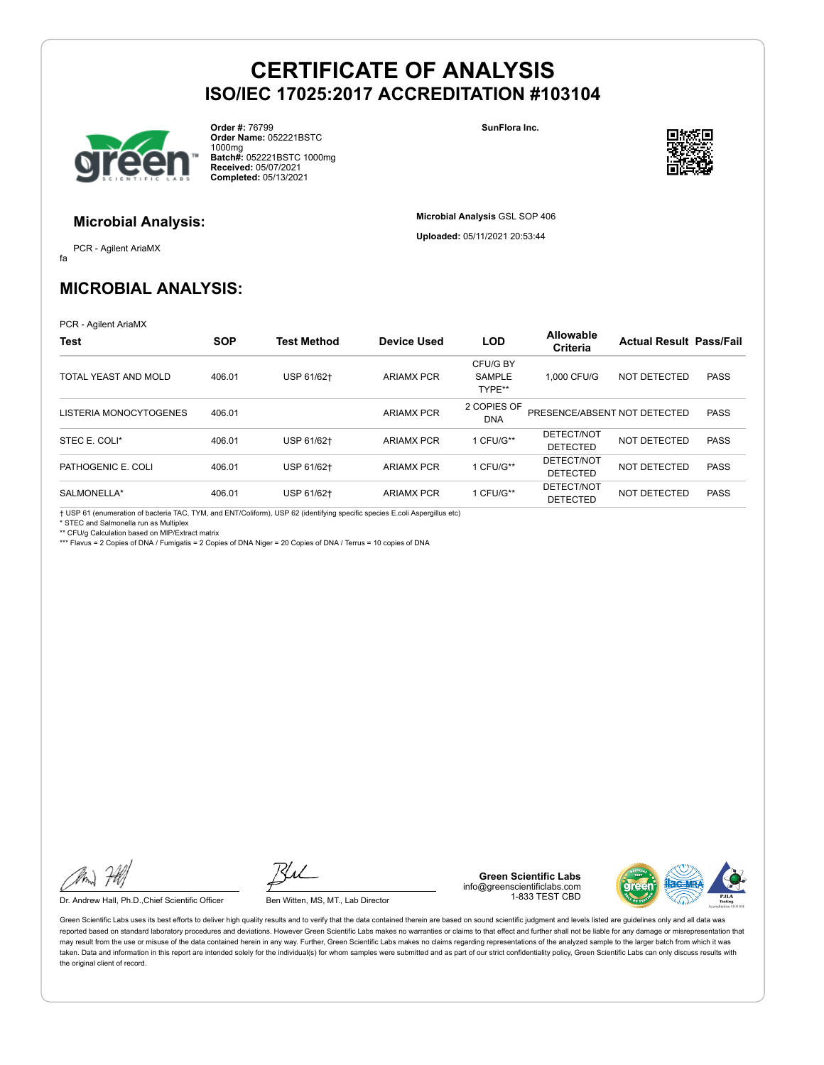

**Order #:** 76799 **Order Name:** 052221BSTC 1000mg **Batch#:** 052221BSTC 1000mg **Received:** 05/07/2021 **Completed:** 05/13/2021

**SunFlora Inc.**

**Microbial Analysis** GSL SOP 406 **Uploaded:** 05/11/2021 20:53:44



#### **Microbial Analysis:**

fa PCR - Agilent AriaMX

### **MICROBIAL ANALYSIS:**

PCR - Agilent AriaMX

| <b>Test</b>            | <b>SOP</b> | <b>Test Method</b> | <b>Device Used</b> | <b>LOD</b>                          | <b>Allowable</b><br>Criteria  | <b>Actual Result Pass/Fail</b> |             |
|------------------------|------------|--------------------|--------------------|-------------------------------------|-------------------------------|--------------------------------|-------------|
| TOTAL YEAST AND MOLD   | 406.01     | USP 61/62+         | <b>ARIAMX PCR</b>  | CFU/G BY<br><b>SAMPLE</b><br>TYPE** | 1.000 CFU/G                   | NOT DETECTED                   | <b>PASS</b> |
| LISTERIA MONOCYTOGENES | 406.01     |                    | <b>ARIAMX PCR</b>  | 2 COPIES OF<br><b>DNA</b>           | PRESENCE/ABSENT NOT DETECTED  |                                | <b>PASS</b> |
| STEC E. COLI*          | 406.01     | USP 61/62+         | <b>ARIAMX PCR</b>  | 1 CFU/G**                           | DETECT/NOT<br><b>DETECTED</b> | NOT DETECTED                   | <b>PASS</b> |
| PATHOGENIC E. COLI     | 406.01     | USP 61/62+         | <b>ARIAMX PCR</b>  | 1 CFU/G**                           | DETECT/NOT<br><b>DETECTED</b> | NOT DETECTED                   | <b>PASS</b> |
| SALMONELLA*            | 406.01     | USP 61/62+         | <b>ARIAMX PCR</b>  | 1 CFU/G**                           | DETECT/NOT<br><b>DETECTED</b> | <b>NOT DETECTED</b>            | <b>PASS</b> |

† USP 61 (enumeration of bacteria TAC, TYM, and ENT/Coliform), USP 62 (identifying specific species E.coli Aspergillus etc) \* STEC and Salmonella run as Multiplex

\*\* CFU/g Calculation based on MIP/Extract matrix

\*\*\* Flavus = 2 Copies of DNA / Fumigatis = 2 Copies of DNA Niger = 20 Copies of DNA / Terrus = 10 copies of DNA

Dr. Andrew Hall, Ph.D., Chief Scientific Officer Ben Witten, MS, MT., Lab Director

**Green Scientific Labs** info@greenscientificlabs.com 1-833 TEST CBD